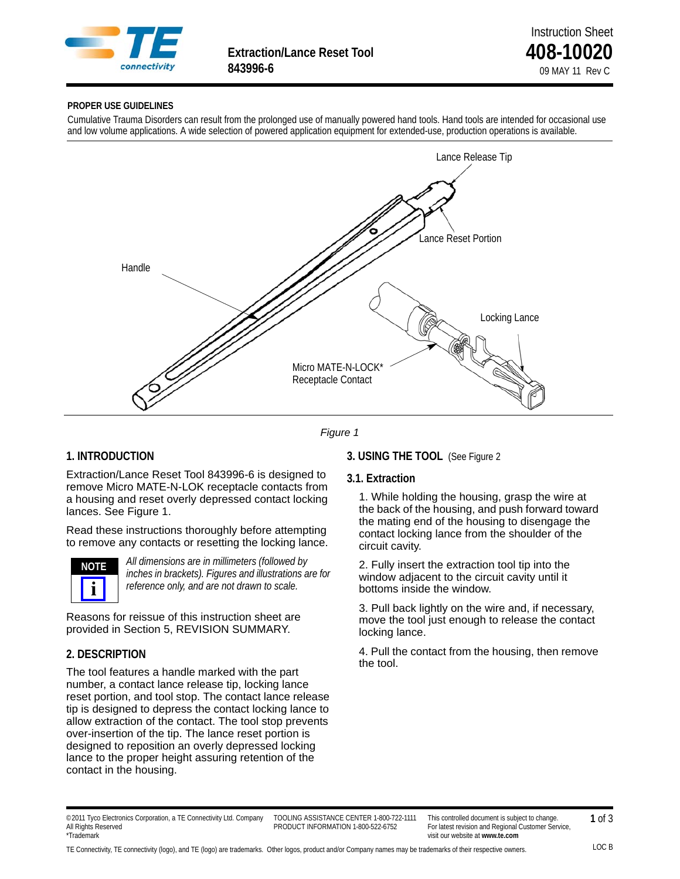

**Extraction/Lance Reset Tool 408-10020**<br>843996-6 **10020** 

#### **PROPER USE GUIDELINES**

Cumulative Trauma Disorders can result from the prolonged use of manually powered hand tools. Hand tools are intended for occasional use and low volume applications. A wide selection of powered application equipment for extended-use, production operations is available.



*Figure 1*

# **1. INTRODUCTION**

Extraction/Lance Reset Tool 843996-6 is designed to remove Micro MATE-N-LOK receptacle contacts from a housing and reset overly depressed contact locking lances. See Figure 1.

Read these instructions thoroughly before attempting to remove any contacts or resetting the locking lance.



*All dimensions are in millimeters (followed by inches in brackets). Figures and illustrations are for reference only, and are not drawn to scale.*

Reasons for reissue of this instruction sheet are provided in Section 5, REVISION SUMMARY.

# **2. DESCRIPTION**

The tool features a handle marked with the part number, a contact lance release tip, locking lance reset portion, and tool stop. The contact lance release tip is designed to depress the contact locking lance to allow extraction of the contact. The tool stop prevents over-insertion of the tip. The lance reset portion is designed to reposition an overly depressed locking lance to the proper height assuring retention of the contact in the housing.

### **3. USING THE TOOL** (See [Figure 2](#page-1-0)

#### **3.1. Extraction**

1. While holding the housing, grasp the wire at the back of the housing, and push forward toward the mating end of the housing to disengage the contact locking lance from the shoulder of the circuit cavity.

2. Fully insert the extraction tool tip into the window adjacent to the circuit cavity until it bottoms inside the window.

3. Pull back lightly on the wire and, if necessary, move the tool just enough to release the contact locking lance.

4. Pull the contact from the housing, then remove the tool.

TOOLING ASSISTANCE CENTER 1-800-722-1111 PRODUCT INFORMATION 1-800-522-6752

TE Connectivity, TE connectivity (logo), and TE (logo) are trademarks. Other logos, product and/or Company names may be trademarks of their respective owners.

<sup>© 2011</sup> Tyco Electronics Corporation, a TE Connectivity Ltd. Company All Rights Reserved \*Trademark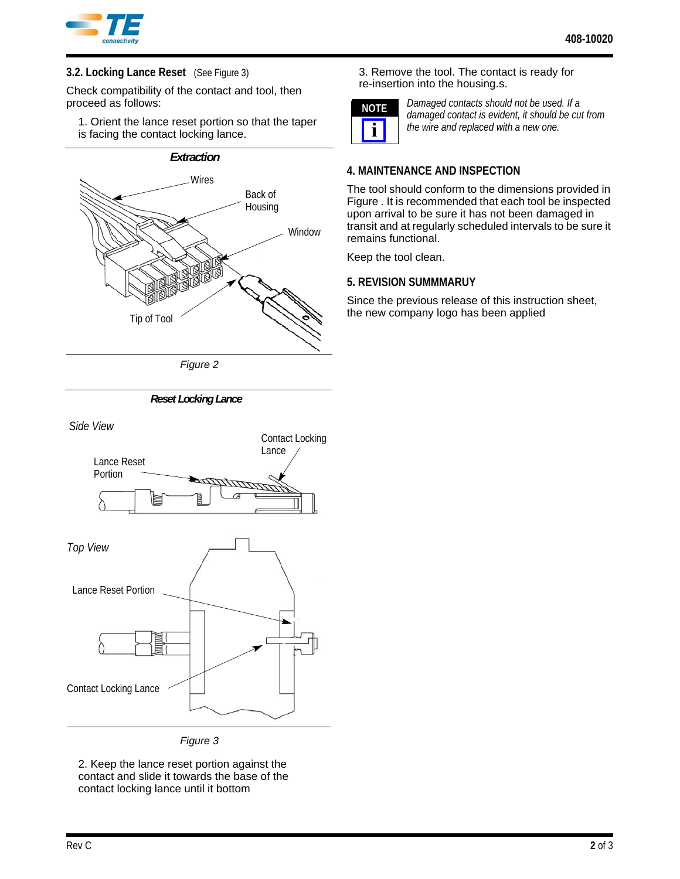

# **3.2. Locking Lance Reset** (See Figure 3)

Check compatibility of the contact and tool, then proceed as follows:

1. Orient the lance reset portion so that the taper is facing the contact locking lance.

# **Wires** Back of Housing Tip of Tool Window *Extraction*

*Figure 2*

<span id="page-1-1"></span><span id="page-1-0"></span>

*Figure 3*

2. Keep the lance reset portion against the contact and slide it towards the base of the contact locking lance until it bottom

3. Remove the tool. The contact is ready for re-insertion into the housing.s.



*Damaged contacts should not be used. If a damaged contact is evident, it should be cut from the wire and replaced with a new one.*

# **4. MAINTENANCE AND INSPECTION**

The tool should conform to the dimensions provided in [Figure](#page-1-1) . It is recommended that each tool be inspected upon arrival to be sure it has not been damaged in transit and at regularly scheduled intervals to be sure it remains functional.

Keep the tool clean.

# **5. REVISION SUMMMARUY**

Since the previous release of this instruction sheet, the new company logo has been applied